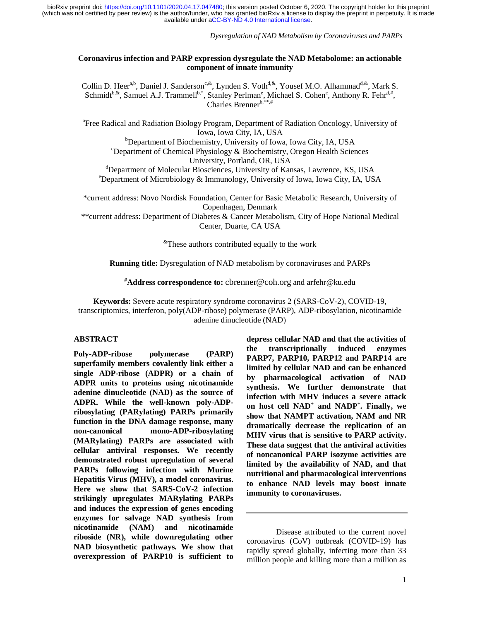*Dysregulation of NAD Metabolism by Coronaviruses and PARPs* 

## **Coronavirus infection and PARP expression dysregulate the NAD Metabolome: an actionable component of innate immunity**

Collin D. Heer<sup>a,b</sup>, Daniel J. Sanderson<sup>c,&</sup>, Lynden S. Voth<sup>d,&</sup>, Yousef M.O. Alhammad<sup>d,&</sup>, Mark S. Schmidt<sup>b,&</sup>, Samuel A.J. Trammell<sup>b,\*</sup>, Stanley Perlman<sup>e</sup>, Michael S. Cohen<sup>c</sup>, Anthony R. Fehr<sup>d,#</sup>, Charles Brennerb,\*\*,#

<sup>a</sup>Free Radical and Radiation Biology Program, Department of Radiation Oncology, University of Iowa, Iowa City, IA, USA

<sup>b</sup> Department of Biochemistry, University of Iowa, Iowa City, IA, USA Department of Chemical Physiology & Biochemistry, Oregon Health Sciences University, Portland, OR, USA

<sup>d</sup>Department of Molecular Biosciences, University of Kansas, Lawrence, KS, USA<br>EDepartment of Microbiology & Immunology, University of Jours Jours City, JA, US  $^{\circ}$ Department of Microbiology & Immunology, University of Iowa, Iowa City, IA, USA

\*current address: Novo Nordisk Foundation, Center for Basic Metabolic Research, University of Copenhagen, Denmark

\*\*current address: Department of Diabetes & Cancer Metabolism, City of Hope National Medical Center, Duarte, CA USA

 $\kappa$ These authors contributed equally to the work

**Running title:** Dysregulation of NAD metabolism by coronaviruses and PARPs

**# Address correspondence to:** cbrenner@coh.org and arfehr@ku.edu

**Keywords:** Severe acute respiratory syndrome coronavirus 2 (SARS-CoV-2), COVID-19, transcriptomics, interferon, poly(ADP-ribose) polymerase (PARP), ADP-ribosylation, nicotinamide adenine dinucleotide (NAD)

# **ABSTRACT**

**Poly-ADP-ribose polymerase (PARP) superfamily members covalently link either a single ADP-ribose (ADPR) or a chain of ADPR units to proteins using nicotinamide adenine dinucleotide (NAD) as the source of ADPR. While the well-known poly-ADPribosylating (PARylating) PARPs primarily function in the DNA damage response, many non-canonical mono-ADP-ribosylating (MARylating) PARPs are associated with cellular antiviral responses. We recently demonstrated robust upregulation of several PARPs following infection with Murine Hepatitis Virus (MHV), a model coronavirus. Here we show that SARS-CoV-2 infection strikingly upregulates MARylating PARPs and induces the expression of genes encoding enzymes for salvage NAD synthesis from nicotinamide (NAM) and nicotinamide riboside (NR), while downregulating other NAD biosynthetic pathways. We show that overexpression of PARP10 is sufficient to** 

**depress cellular NAD and that the activities of the transcriptionally induced enzymes PARP7, PARP10, PARP12 and PARP14 are limited by cellular NAD and can be enhanced by pharmacological activation of NAD synthesis. We further demonstrate that infection with MHV induces a severe attack on host cell NAD<sup>+</sup> and NADP<sup>+</sup> . Finally, we show that NAMPT activation, NAM and NR dramatically decrease the replication of an MHV virus that is sensitive to PARP activity. These data suggest that the antiviral activities of noncanonical PARP isozyme activities are limited by the availability of NAD, and that nutritional and pharmacological interventions to enhance NAD levels may boost innate immunity to coronaviruses.** 

Disease attributed to the current novel coronavirus (CoV) outbreak (COVID-19) has rapidly spread globally, infecting more than 33 million people and killing more than a million as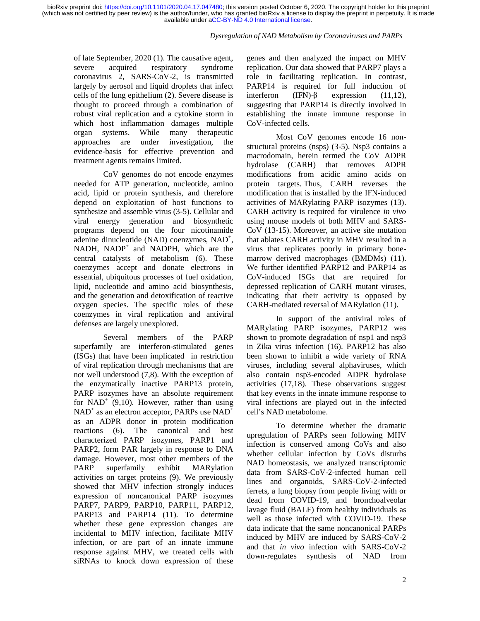#### *Dysregulation of NAD Metabolism by Coronaviruses and PARPs*

of late September, 2020 (1). The causative agent, severe acquired respiratory syndrome coronavirus 2, SARS-CoV-2, is transmitted largely by aerosol and liquid droplets that infect cells of the lung epithelium (2). Severe disease is thought to proceed through a combination of robust viral replication and a cytokine storm in which host inflammation damages multiple organ systems. While many therapeutic approaches are under investigation, the evidence-basis for effective prevention and treatment agents remains limited.

CoV genomes do not encode enzymes needed for ATP generation, nucleotide, amino acid, lipid or protein synthesis, and therefore depend on exploitation of host functions to synthesize and assemble virus (3-5). Cellular and viral energy generation and biosynthetic programs depend on the four nicotinamide adenine dinucleotide (NAD) coenzymes, NAD<sup>+</sup>, NADH, NADP<sup>+</sup> and NADPH, which are the central catalysts of metabolism (6). These coenzymes accept and donate electrons in essential, ubiquitous processes of fuel oxidation, lipid, nucleotide and amino acid biosynthesis, and the generation and detoxification of reactive oxygen species. The specific roles of these coenzymes in viral replication and antiviral defenses are largely unexplored.

Several members of the PARP superfamily are interferon-stimulated genes (ISGs) that have been implicated in restriction of viral replication through mechanisms that are not well understood (7,8). With the exception of the enzymatically inactive PARP13 protein, PARP isozymes have an absolute requirement for  $NAD^+$  (9,10). However, rather than using  $NAD^+$  as an electron acceptor, PARPs use  $NAD^+$ as an ADPR donor in protein modification reactions (6). The canonical and best characterized PARP isozymes, PARP1 and PARP2, form PAR largely in response to DNA damage. However, most other members of the PARP superfamily exhibit MARylation activities on target proteins (9). We previously showed that MHV infection strongly induces expression of noncanonical PARP isozymes PARP7, PARP9, PARP10, PARP11, PARP12, PARP13 and PARP14 (11). To determine whether these gene expression changes are incidental to MHV infection, facilitate MHV infection, or are part of an innate immune response against MHV, we treated cells with siRNAs to knock down expression of these

genes and then analyzed the impact on MHV replication. Our data showed that PARP7 plays a role in facilitating replication. In contrast, PARP14 is required for full induction of interferon (IFN)-β expression (11,12), suggesting that PARP14 is directly involved in establishing the innate immune response in CoV-infected cells.

Most CoV genomes encode 16 nonstructural proteins (nsps) (3-5). Nsp3 contains a macrodomain, herein termed the CoV ADPR hydrolase (CARH) that removes ADPR modifications from acidic amino acids on protein targets. Thus, CARH reverses the modification that is installed by the IFN-induced activities of MARylating PARP isozymes (13). CARH activity is required for virulence *in vivo* using mouse models of both MHV and SARS-CoV (13-15). Moreover, an active site mutation that ablates CARH activity in MHV resulted in a virus that replicates poorly in primary bonemarrow derived macrophages (BMDMs) (11). We further identified PARP12 and PARP14 as CoV-induced ISGs that are required for depressed replication of CARH mutant viruses, indicating that their activity is opposed by CARH-mediated reversal of MARylation (11).

In support of the antiviral roles of MARylating PARP isozymes, PARP12 was shown to promote degradation of nsp1 and nsp3 in Zika virus infection (16). PARP12 has also been shown to inhibit a wide variety of RNA viruses, including several alphaviruses, which also contain nsp3-encoded ADPR hydrolase activities (17,18). These observations suggest that key events in the innate immune response to viral infections are played out in the infected cell's NAD metabolome.

To determine whether the dramatic upregulation of PARPs seen following MHV infection is conserved among CoVs and also whether cellular infection by CoVs disturbs NAD homeostasis, we analyzed transcriptomic data from SARS-CoV-2-infected human cell lines and organoids, SARS-CoV-2-infected ferrets, a lung biopsy from people living with or dead from COVID-19, and bronchoalveolar lavage fluid (BALF) from healthy individuals as well as those infected with COVID-19. These data indicate that the same noncanonical PARPs induced by MHV are induced by SARS-CoV-2 and that *in vivo* infection with SARS-CoV-2 down-regulates synthesis of NAD from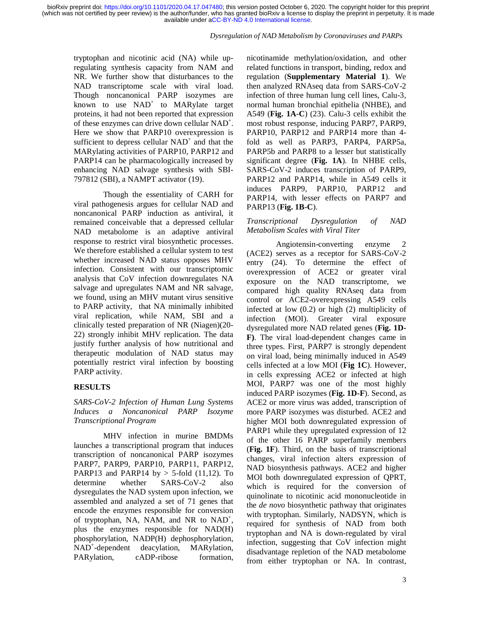#### *Dysregulation of NAD Metabolism by Coronaviruses and PARPs*

tryptophan and nicotinic acid (NA) while upregulating synthesis capacity from NAM and NR. We further show that disturbances to the NAD transcriptome scale with viral load. Though noncanonical PARP isozymes are known to use NAD<sup>+</sup> to MARylate target proteins, it had not been reported that expression of these enzymes can drive down cellular NAD<sup>+</sup>. Here we show that PARP10 overexpression is sufficient to depress cellular  $NAD<sup>+</sup>$  and that the MARylating activities of PARP10, PARP12 and PARP14 can be pharmacologically increased by enhancing NAD salvage synthesis with SBI-797812 (SBI), a NAMPT activator (19).

Though the essentiality of CARH for viral pathogenesis argues for cellular NAD and noncanonical PARP induction as antiviral, it remained conceivable that a depressed cellular NAD metabolome is an adaptive antiviral response to restrict viral biosynthetic processes. We therefore established a cellular system to test whether increased NAD status opposes MHV infection. Consistent with our transcriptomic analysis that CoV infection downregulates NA salvage and upregulates NAM and NR salvage, we found, using an MHV mutant virus sensitive to PARP activity, that NA minimally inhibited viral replication, while NAM, SBI and a clinically tested preparation of NR (Niagen)(20- 22) strongly inhibit MHV replication. The data justify further analysis of how nutritional and therapeutic modulation of NAD status may potentially restrict viral infection by boosting PARP activity.

# **RESULTS**

*SARS-CoV-2 Infection of Human Lung Systems Induces a Noncanonical PARP Isozyme Transcriptional Program* 

MHV infection in murine BMDMs launches a transcriptional program that induces transcription of noncanonical PARP isozymes PARP7, PARP9, PARP10, PARP11, PARP12, PARP13 and PARP14 by  $>$  5-fold (11,12). To determine whether SARS-CoV-2 also dysregulates the NAD system upon infection, we assembled and analyzed a set of 71 genes that encode the enzymes responsible for conversion of tryptophan, NA, NAM, and NR to NAD<sup>+</sup>, plus the enzymes responsible for NAD(H) phosphorylation, NADP(H) dephosphorylation, NAD+ -dependent deacylation, MARylation, PARylation, cADP-ribose formation,

nicotinamide methylation/oxidation, and other related functions in transport, binding, redox and regulation (**Supplementary Material 1**). We then analyzed RNAseq data from SARS-CoV-2 infection of three human lung cell lines, Calu-3, normal human bronchial epithelia (NHBE), and A549 (**Fig. 1A-C**) (23). Calu-3 cells exhibit the most robust response, inducing PARP7, PARP9, PARP10, PARP12 and PARP14 more than 4 fold as well as PARP3, PARP4, PARP5a, PARP5b and PARP8 to a lesser but statistically significant degree (**Fig. 1A**). In NHBE cells, SARS-CoV-2 induces transcription of PARP9, PARP12 and PARP14, while in A549 cells it induces PARP9, PARP10, PARP12 and PARP14, with lesser effects on PARP7 and PARP13 (**Fig. 1B-C**).

### *Transcriptional Dysregulation of NAD Metabolism Scales with Viral Titer*

Angiotensin-converting enzyme 2 (ACE2) serves as a receptor for SARS-CoV-2 entry (24). To determine the effect of overexpression of ACE2 or greater viral exposure on the NAD transcriptome, we compared high quality RNAseq data from control or ACE2-overexpressing A549 cells infected at low (0.2) or high (2) multiplicity of infection (MOI). Greater viral exposure dysregulated more NAD related genes (**Fig. 1D-F)**. The viral load-dependent changes came in three types. First, PARP7 is strongly dependent on viral load, being minimally induced in A549 cells infected at a low MOI (**Fig 1C**). However, in cells expressing ACE2 or infected at high MOI, PARP7 was one of the most highly induced PARP isozymes (**Fig. 1D-F**). Second, as ACE2 or more virus was added, transcription of more PARP isozymes was disturbed. ACE2 and higher MOI both downregulated expression of PARP1 while they upregulated expression of 12 of the other 16 PARP superfamily members (**Fig. 1F**). Third, on the basis of transcriptional changes, viral infection alters expression of NAD biosynthesis pathways. ACE2 and higher MOI both downregulated expression of QPRT, which is required for the conversion of quinolinate to nicotinic acid mononucleotide in the *de novo* biosynthetic pathway that originates with tryptophan. Similarly, NADSYN, which is required for synthesis of NAD from both tryptophan and NA is down-regulated by viral infection, suggesting that CoV infection might disadvantage repletion of the NAD metabolome from either tryptophan or NA. In contrast,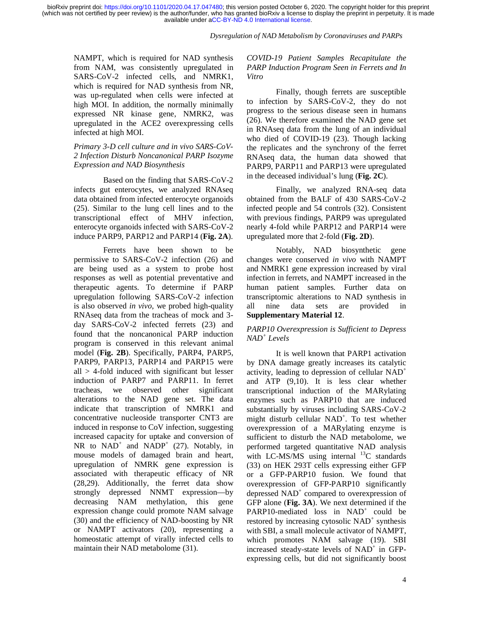*Dysregulation of NAD Metabolism by Coronaviruses and PARPs* 

NAMPT, which is required for NAD synthesis from NAM, was consistently upregulated in SARS-CoV-2 infected cells, and NMRK1, which is required for NAD synthesis from NR, was up-regulated when cells were infected at high MOI. In addition, the normally minimally expressed NR kinase gene, NMRK2, was upregulated in the ACE2 overexpressing cells infected at high MOI.

# *Primary 3-D cell culture and in vivo SARS-CoV-2 Infection Disturb Noncanonical PARP Isozyme Expression and NAD Biosynthesis*

Based on the finding that SARS-CoV-2 infects gut enterocytes, we analyzed RNAseq data obtained from infected enterocyte organoids (25). Similar to the lung cell lines and to the transcriptional effect of MHV infection, enterocyte organoids infected with SARS-CoV-2 induce PARP9, PARP12 and PARP14 (**Fig. 2A**).

Ferrets have been shown to be permissive to SARS-CoV-2 infection (26) and are being used as a system to probe host responses as well as potential preventative and therapeutic agents. To determine if PARP upregulation following SARS-CoV-2 infection is also observed *in vivo*, we probed high-quality RNAseq data from the tracheas of mock and 3 day SARS-CoV-2 infected ferrets (23) and found that the noncanonical PARP induction program is conserved in this relevant animal model (**Fig. 2B**). Specifically, PARP4, PARP5, PARP9, PARP13, PARP14 and PARP15 were all > 4-fold induced with significant but lesser induction of PARP7 and PARP11. In ferret tracheas, we observed other significant alterations to the NAD gene set. The data indicate that transcription of NMRK1 and concentrative nucleoside transporter CNT3 are induced in response to CoV infection, suggesting increased capacity for uptake and conversion of NR to  $NAD^+$  and  $NADP^+$  (27). Notably, in mouse models of damaged brain and heart, upregulation of NMRK gene expression is associated with therapeutic efficacy of NR (28,29). Additionally, the ferret data show strongly depressed NNMT expression—by decreasing NAM methylation, this gene expression change could promote NAM salvage (30) and the efficiency of NAD-boosting by NR or NAMPT activators (20), representing a homeostatic attempt of virally infected cells to maintain their NAD metabolome (31).

*COVID-19 Patient Samples Recapitulate the PARP Induction Program Seen in Ferrets and In Vitro* 

Finally, though ferrets are susceptible to infection by SARS-CoV-2, they do not progress to the serious disease seen in humans (26). We therefore examined the NAD gene set in RNAseq data from the lung of an individual who died of COVID-19 (23). Though lacking the replicates and the synchrony of the ferret RNAseq data, the human data showed that PARP9, PARP11 and PARP13 were upregulated in the deceased individual's lung (**Fig. 2C**).

Finally, we analyzed RNA-seq data obtained from the BALF of 430 SARS-CoV-2 infected people and 54 controls (32). Consistent with previous findings, PARP9 was upregulated nearly 4-fold while PARP12 and PARP14 were upregulated more that 2-fold (**Fig. 2D**).

Notably, NAD biosynthetic gene changes were conserved *in vivo* with NAMPT and NMRK1 gene expression increased by viral infection in ferrets, and NAMPT increased in the human patient samples. Further data on transcriptomic alterations to NAD synthesis in all nine data sets are provided in **Supplementary Material 12**.

# *PARP10 Overexpression is Sufficient to Depress NAD<sup>+</sup> Levels*

It is well known that PARP1 activation by DNA damage greatly increases its catalytic activity, leading to depression of cellular  $NAD^+$ and ATP (9,10). It is less clear whether transcriptional induction of the MARylating enzymes such as PARP10 that are induced substantially by viruses including SARS-CoV-2 might disturb cellular NAD<sup>+</sup>. To test whether overexpression of a MARylating enzyme is sufficient to disturb the NAD metabolome, we performed targeted quantitative NAD analysis with LC-MS/MS using internal  $^{13}$ C standards (33) on HEK 293T cells expressing either GFP or a GFP-PARP10 fusion. We found that overexpression of GFP-PARP10 significantly depressed NAD<sup>+</sup> compared to overexpression of GFP alone (**Fig. 3A**). We next determined if the PARP10-mediated loss in NAD<sup>+</sup> could be restored by increasing cytosolic NAD<sup>+</sup> synthesis with SBI, a small molecule activator of NAMPT, which promotes NAM salvage (19). SBI increased steady-state levels of NAD<sup>+</sup> in GFPexpressing cells, but did not significantly boost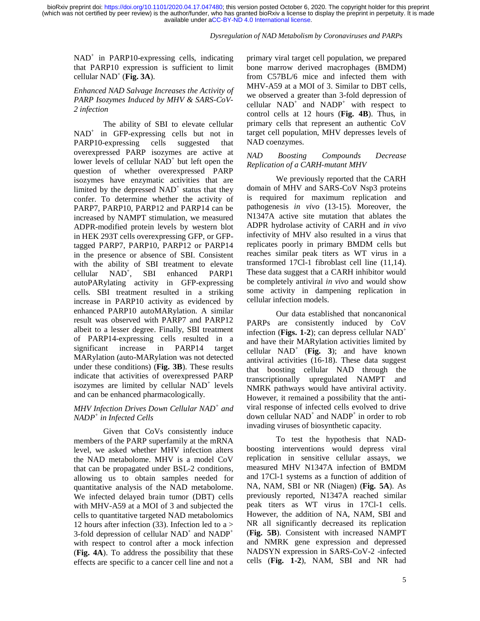#### *Dysregulation of NAD Metabolism by Coronaviruses and PARPs*

NAD<sup>+</sup> in PARP10-expressing cells, indicating that PARP10 expression is sufficient to limit cellular NAD<sup>+</sup> (Fig. 3A).

# *Enhanced NAD Salvage Increases the Activity of PARP Isozymes Induced by MHV & SARS-CoV-2 infection*

The ability of SBI to elevate cellular NAD+ in GFP-expressing cells but not in PARP10-expressing cells suggested that overexpressed PARP isozymes are active at lower levels of cellular NAD<sup>+</sup> but left open the question of whether overexpressed PARP isozymes have enzymatic activities that are limited by the depressed NAD<sup>+</sup> status that they confer. To determine whether the activity of PARP7, PARP10, PARP12 and PARP14 can be increased by NAMPT stimulation, we measured ADPR-modified protein levels by western blot in HEK 293T cells overexpressing GFP, or GFPtagged PARP7, PARP10, PARP12 or PARP14 in the presence or absence of SBI. Consistent with the ability of SBI treatment to elevate cellular NAD+ , SBI enhanced PARP1 autoPARylating activity in GFP-expressing cells. SBI treatment resulted in a striking increase in PARP10 activity as evidenced by enhanced PARP10 autoMARylation. A similar result was observed with PARP7 and PARP12 albeit to a lesser degree. Finally, SBI treatment of PARP14-expressing cells resulted in a significant increase in PARP14 target MARylation (auto-MARylation was not detected under these conditions) (**Fig. 3B**). These results indicate that activities of overexpressed PARP isozymes are limited by cellular NAD<sup>+</sup> levels and can be enhanced pharmacologically.

# *MHV Infection Drives Down Cellular NAD+ and NADP+ in Infected Cells*

Given that CoVs consistently induce members of the PARP superfamily at the mRNA level, we asked whether MHV infection alters the NAD metabolome. MHV is a model CoV that can be propagated under BSL-2 conditions, allowing us to obtain samples needed for quantitative analysis of the NAD metabolome. We infected delayed brain tumor (DBT) cells with MHV-A59 at a MOI of 3 and subjected the cells to quantitative targeted NAD metabolomics 12 hours after infection (33). Infection led to a > 3-fold depression of cellular  $NAD<sup>+</sup>$  and  $NADP<sup>+</sup>$ with respect to control after a mock infection (**Fig. 4A**). To address the possibility that these effects are specific to a cancer cell line and not a primary viral target cell population, we prepared bone marrow derived macrophages (BMDM) from C57BL/6 mice and infected them with MHV-A59 at a MOI of 3. Similar to DBT cells, we observed a greater than 3-fold depression of cellular  $NAD^+$  and  $NADP^+$  with respect to control cells at 12 hours (**Fig. 4B**). Thus, in primary cells that represent an authentic CoV target cell population, MHV depresses levels of NAD coenzymes.

# *NAD Boosting Compounds Decrease Replication of a CARH-mutant MHV*

We previously reported that the CARH domain of MHV and SARS-CoV Nsp3 proteins is required for maximum replication and pathogenesis *in vivo* (13-15). Moreover, the N1347A active site mutation that ablates the ADPR hydrolase activity of CARH and *in vivo* infectivity of MHV also resulted in a virus that replicates poorly in primary BMDM cells but reaches similar peak titers as WT virus in a transformed 17Cl-1 fibroblast cell line (11,14). These data suggest that a CARH inhibitor would be completely antiviral *in vivo* and would show some activity in dampening replication in cellular infection models.

Our data established that noncanonical PARPs are consistently induced by CoV infection (**Figs. 1-2**); can depress cellular  $NAD^+$ and have their MARylation activities limited by cellular  $NAD^+$  (Fig. 3); and have known antiviral activities (16-18). These data suggest that boosting cellular NAD through the transcriptionally upregulated NAMPT and NMRK pathways would have antiviral activity. However, it remained a possibility that the antiviral response of infected cells evolved to drive down cellular NAD<sup>+</sup> and NADP<sup>+</sup> in order to rob invading viruses of biosynthetic capacity.

To test the hypothesis that NADboosting interventions would depress viral replication in sensitive cellular assays, we measured MHV N1347A infection of BMDM and 17Cl-1 systems as a function of addition of NA, NAM, SBI or NR (Niagen) (**Fig. 5A**). As previously reported, N1347A reached similar peak titers as WT virus in 17Cl-1 cells. However, the addition of NA, NAM, SBI and NR all significantly decreased its replication (**Fig. 5B**). Consistent with increased NAMPT and NMRK gene expression and depressed NADSYN expression in SARS-CoV-2 -infected cells (**Fig. 1-2**), NAM, SBI and NR had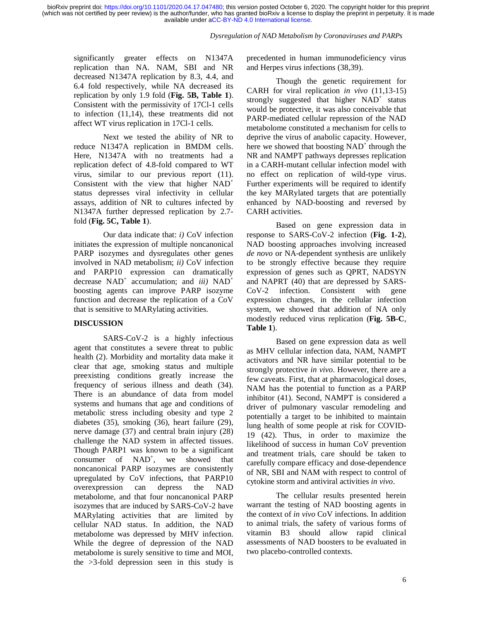#### *Dysregulation of NAD Metabolism by Coronaviruses and PARPs*

significantly greater effects on N1347A replication than NA. NAM, SBI and NR decreased N1347A replication by 8.3, 4.4, and 6.4 fold respectively, while NA decreased its replication by only 1.9 fold (**Fig. 5B, Table 1**). Consistent with the permissivity of 17Cl-1 cells to infection (11,14), these treatments did not affect WT virus replication in 17Cl-1 cells.

Next we tested the ability of NR to reduce N1347A replication in BMDM cells. Here, N1347A with no treatments had a replication defect of 4.8-fold compared to WT virus, similar to our previous report (11). Consistent with the view that higher  $NAD^+$ status depresses viral infectivity in cellular assays, addition of NR to cultures infected by N1347A further depressed replication by 2.7 fold (**Fig. 5C, Table 1**).

 Our data indicate that: *i)* CoV infection initiates the expression of multiple noncanonical PARP isozymes and dysregulates other genes involved in NAD metabolism; *ii)* CoV infection and PARP10 expression can dramatically decrease NAD<sup>+</sup> accumulation; and *iii*) NAD<sup>+</sup> boosting agents can improve PARP isozyme function and decrease the replication of a CoV that is sensitive to MARylating activities.

# **DISCUSSION**

SARS-CoV-2 is a highly infectious agent that constitutes a severe threat to public health (2). Morbidity and mortality data make it clear that age, smoking status and multiple preexisting conditions greatly increase the frequency of serious illness and death (34). There is an abundance of data from model systems and humans that age and conditions of metabolic stress including obesity and type 2 diabetes (35), smoking (36), heart failure (29), nerve damage (37) and central brain injury (28) challenge the NAD system in affected tissues. Though PARP1 was known to be a significant consumer of  $NAD^+$ , we showed that noncanonical PARP isozymes are consistently upregulated by CoV infections, that PARP10 overexpression can depress the NAD metabolome, and that four noncanonical PARP isozymes that are induced by SARS-CoV-2 have MARylating activities that are limited by cellular NAD status. In addition, the NAD metabolome was depressed by MHV infection. While the degree of depression of the NAD metabolome is surely sensitive to time and MOI, the >3-fold depression seen in this study is

precedented in human immunodeficiency virus and Herpes virus infections (38,39).

Though the genetic requirement for CARH for viral replication *in vivo* (11,13-15) strongly suggested that higher NAD<sup>+</sup> status would be protective, it was also conceivable that PARP-mediated cellular repression of the NAD metabolome constituted a mechanism for cells to deprive the virus of anabolic capacity. However, here we showed that boosting NAD<sup>+</sup> through the NR and NAMPT pathways depresses replication in a CARH-mutant cellular infection model with no effect on replication of wild-type virus. Further experiments will be required to identify the key MARylated targets that are potentially enhanced by NAD-boosting and reversed by CARH activities.

Based on gene expression data in response to SARS-CoV-2 infection (**Fig. 1-2**), NAD boosting approaches involving increased *de novo* or NA-dependent synthesis are unlikely to be strongly effective because they require expression of genes such as QPRT, NADSYN and NAPRT (40) that are depressed by SARS-CoV-2 infection. Consistent with gene expression changes, in the cellular infection system, we showed that addition of NA only modestly reduced virus replication (**Fig. 5B-C**, **Table 1**).

Based on gene expression data as well as MHV cellular infection data, NAM, NAMPT activators and NR have similar potential to be strongly protective *in vivo*. However, there are a few caveats. First, that at pharmacological doses, NAM has the potential to function as a PARP inhibitor (41). Second, NAMPT is considered a driver of pulmonary vascular remodeling and potentially a target to be inhibited to maintain lung health of some people at risk for COVID-19 (42). Thus, in order to maximize the likelihood of success in human CoV prevention and treatment trials, care should be taken to carefully compare efficacy and dose-dependence of NR, SBI and NAM with respect to control of cytokine storm and antiviral activities *in vivo*.

The cellular results presented herein warrant the testing of NAD boosting agents in the context of *in vivo* CoV infections. In addition to animal trials, the safety of various forms of vitamin B3 should allow rapid clinical assessments of NAD boosters to be evaluated in two placebo-controlled contexts.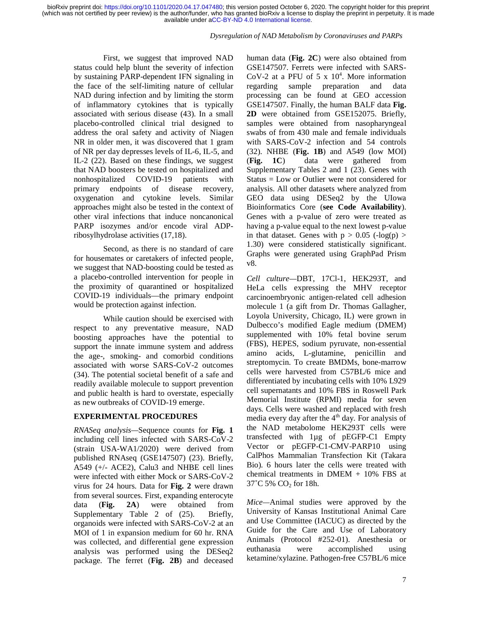First, we suggest that improved NAD status could help blunt the severity of infection by sustaining PARP-dependent IFN signaling in the face of the self-limiting nature of cellular NAD during infection and by limiting the storm of inflammatory cytokines that is typically associated with serious disease (43). In a small placebo-controlled clinical trial designed to address the oral safety and activity of Niagen NR in older men, it was discovered that 1 gram of NR per day depresses levels of IL-6, IL-5, and IL-2 (22). Based on these findings, we suggest that NAD boosters be tested on hospitalized and nonhospitalized COVID-19 patients with primary endpoints of disease recovery, oxygenation and cytokine levels. Similar approaches might also be tested in the context of other viral infections that induce noncanonical PARP isozymes and/or encode viral ADPribosylhydrolase activities (17,18).

Second, as there is no standard of care for housemates or caretakers of infected people, we suggest that NAD-boosting could be tested as a placebo-controlled intervention for people in the proximity of quarantined or hospitalized COVID-19 individuals—the primary endpoint would be protection against infection.

While caution should be exercised with respect to any preventative measure, NAD boosting approaches have the potential to support the innate immune system and address the age-, smoking- and comorbid conditions associated with worse SARS-CoV-2 outcomes (34). The potential societal benefit of a safe and readily available molecule to support prevention and public health is hard to overstate, especially as new outbreaks of COVID-19 emerge.

# **EXPERIMENTAL PROCEDURES**

*RNASeq analysis—*Sequence counts for **Fig. 1** including cell lines infected with SARS-CoV-2 (strain USA-WA1/2020) were derived from published RNAseq (GSE147507) (23). Briefly, A549 (+/- ACE2), Calu3 and NHBE cell lines were infected with either Mock or SARS-CoV-2 virus for 24 hours. Data for **Fig. 2** were drawn from several sources. First, expanding enterocyte data (**Fig. 2A**) were obtained from Supplementary Table 2 of (25). Briefly, organoids were infected with SARS-CoV-2 at an MOI of 1 in expansion medium for 60 hr. RNA was collected, and differential gene expression analysis was performed using the DESeq2 package. The ferret (**Fig. 2B**) and deceased

human data (**Fig. 2C**) were also obtained from GSE147507. Ferrets were infected with SARS-CoV-2 at a PFU of 5 x  $10^4$ . More information regarding sample preparation and data processing can be found at GEO accession GSE147507. Finally, the human BALF data **Fig. 2D** were obtained from GSE152075. Briefly, samples were obtained from nasopharyngeal swabs of from 430 male and female individuals with SARS-CoV-2 infection and 54 controls (32). NHBE (**Fig. 1B**) and A549 (low MOI) (**Fig. 1C**) data were gathered from Supplementary Tables 2 and 1 (23). Genes with Status = Low or Outlier were not considered for analysis. All other datasets where analyzed from GEO data using DESeq2 by the UIowa Bioinformatics Core (**see Code Availability**). Genes with a p-value of zero were treated as having a p-value equal to the next lowest p-value in that dataset. Genes with  $p > 0.05$  (-log(p) > 1.30) were considered statistically significant. Graphs were generated using GraphPad Prism v8.

*Cell culture—*DBT, 17Cl-1, HEK293T, and HeLa cells expressing the MHV receptor carcinoembryonic antigen-related cell adhesion molecule 1 (a gift from Dr. Thomas Gallagher, Loyola University, Chicago, IL) were grown in Dulbecco's modified Eagle medium (DMEM) supplemented with 10% fetal bovine serum (FBS), HEPES, sodium pyruvate, non-essential amino acids, L-glutamine, penicillin and streptomycin. To create BMDMs, bone-marrow cells were harvested from C57BL/6 mice and differentiated by incubating cells with 10% L929 cell supernatants and 10% FBS in Roswell Park Memorial Institute (RPMI) media for seven days. Cells were washed and replaced with fresh media every day after the  $4<sup>th</sup>$  day. For analysis of the NAD metabolome HEK293T cells were transfected with 1µg of pEGFP-C1 Empty Vector or pEGFP-C1-CMV-PARP10 using CalPhos Mammalian Transfection Kit (Takara Bio). 6 hours later the cells were treated with chemical treatments in DMEM + 10% FBS at  $37^{\circ}$ C 5% CO<sub>2</sub> for 18h.

*Mice—*Animal studies were approved by the University of Kansas Institutional Animal Care and Use Committee (IACUC) as directed by the Guide for the Care and Use of Laboratory Animals (Protocol #252-01). Anesthesia or euthanasia were accomplished using ketamine/xylazine. Pathogen-free C57BL/6 mice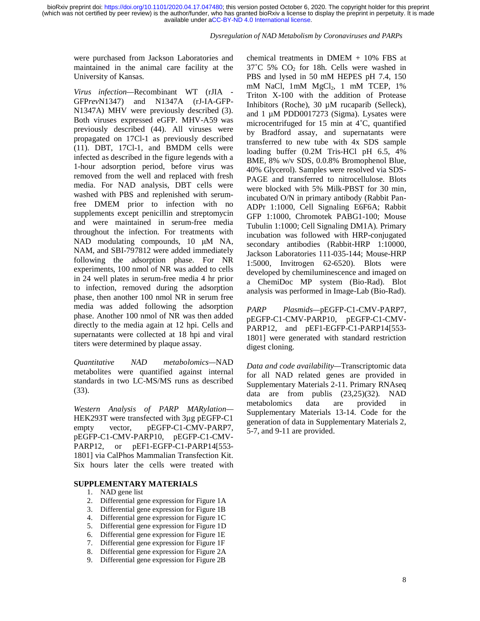#### *Dysregulation of NAD Metabolism by Coronaviruses and PARPs*

were purchased from Jackson Laboratories and maintained in the animal care facility at the University of Kansas.

*Virus infection—*Recombinant WT (rJIA - GFP*rev*N1347) and N1347A (rJ-IA-GFP-N1347A) MHV were previously described (3). Both viruses expressed eGFP. MHV-A59 was previously described (44). All viruses were propagated on 17Cl-1 as previously described (11). DBT, 17Cl-1, and BMDM cells were infected as described in the figure legends with a 1-hour adsorption period, before virus was removed from the well and replaced with fresh media. For NAD analysis, DBT cells were washed with PBS and replenished with serumfree DMEM prior to infection with no supplements except penicillin and streptomycin and were maintained in serum-free media throughout the infection. For treatments with NAD modulating compounds, 10 μM NA, NAM, and SBI-797812 were added immediately following the adsorption phase. For NR experiments, 100 nmol of NR was added to cells in 24 well plates in serum-free media 4 hr prior to infection, removed during the adsorption phase, then another 100 nmol NR in serum free media was added following the adsorption phase. Another 100 nmol of NR was then added directly to the media again at 12 hpi. Cells and supernatants were collected at 18 hpi and viral titers were determined by plaque assay.

*Quantitative NAD metabolomics—*NAD metabolites were quantified against internal standards in two LC-MS/MS runs as described (33).

*Western Analysis of PARP MARylation—* HEK293T were transfected with 3µg pEGFP-C1 empty vector, pEGFP-C1-CMV-PARP7, pEGFP-C1-CMV-PARP10, pEGFP-C1-CMV-PARP12, or pEF1-EGFP-C1-PARP14[553-1801] via CalPhos Mammalian Transfection Kit. Six hours later the cells were treated with

# **SUPPLEMENTARY MATERIALS**

- Differential gene expression for Figure 1A
- 1. NAD gene list<br>2. Differential ge<br>3. Differential ge 3. Differential gene expression for Figure 1B
- 
- 4. Differential gene expression for Figure 1C<br>5. Differential gene expression for Figure 1D
- 5. Differential gene expression for Figure 1D<br>6. Differential gene expression for Figure 1E
- 6. Differential gene expression for Figure 1E 7. Differential gene expression for Figure 1F
- 8. Differential gene expression for Figure 2A
- 9. Differential gene expression for Figure 2B

chemical treatments in DMEM + 10% FBS at  $37^{\circ}$ C 5% CO<sub>2</sub> for 18h. Cells were washed in PBS and lysed in 50 mM HEPES pH 7.4, 150 mM NaCl, 1mM MgCl<sub>2</sub>, 1 mM TCEP, 1% Triton X-100 with the addition of Protease Inhibitors (Roche), 30 µM rucaparib (Selleck), and  $1 \mu M$  PDD0017273 (Sigma). Lysates were microcentrifuged for 15 min at 4˚C, quantified by Bradford assay, and supernatants were transferred to new tube with 4x SDS sample loading buffer (0.2M Tris-HCl pH 6.5, 4% BME, 8% w/v SDS, 0.0.8% Bromophenol Blue, 40% Glycerol). Samples were resolved via SDS-PAGE and transferred to nitrocellulose. Blots were blocked with 5% Milk-PBST for 30 min, incubated O/N in primary antibody (Rabbit Pan-ADPr 1:1000, Cell Signaling E6F6A; Rabbit GFP 1:1000, Chromotek PABG1-100; Mouse Tubulin 1:1000; Cell Signaling DM1A). Primary incubation was followed with HRP-conjugated secondary antibodies (Rabbit-HRP 1:10000, Jackson Laboratories 111-035-144; Mouse-HRP 1:5000, Invitrogen 62-6520). Blots were developed by chemiluminescence and imaged on a ChemiDoc MP system (Bio-Rad). Blot analysis was performed in Image-Lab (Bio-Rad).

*PARP Plasmids—*pEGFP-C1-CMV-PARP7, pEGFP-C1-CMV-PARP10, pEGFP-C1-CMV-PARP12, and pEF1-EGFP-C1-PARP14[553-1801] were generated with standard restriction digest cloning.

*Data and code availability—*Transcriptomic data for all NAD related genes are provided in Supplementary Materials 2-11. Primary RNAseq data are from publis (23,25)(32). NAD metabolomics data are provided in Supplementary Materials 13-14. Code for the generation of data in Supplementary Materials 2, 5-7, and 9-11 are provided.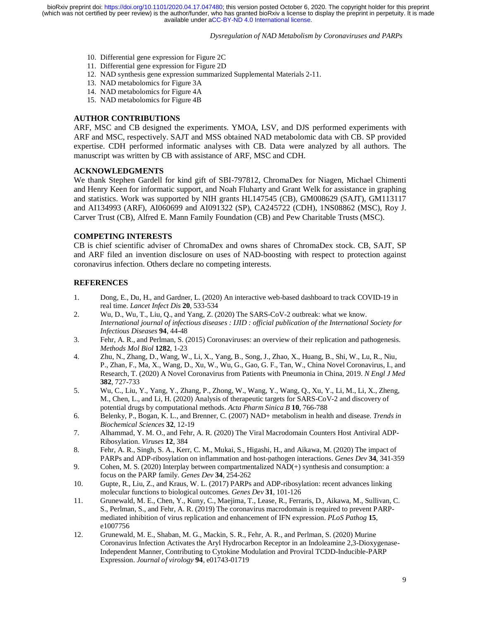*Dysregulation of NAD Metabolism by Coronaviruses and PARPs* 

- 10. Differential gene expression for Figure 2C
- 11. Differential gene expression for Figure 2D
- 12. NAD synthesis gene expression summarized Supplemental Materials 2-11.
- 13. NAD metabolomics for Figure 3A
- 14. NAD metabolomics for Figure 4A
- 15. NAD metabolomics for Figure 4B

## **AUTHOR CONTRIBUTIONS**

ARF, MSC and CB designed the experiments. YMOA, LSV, and DJS performed experiments with ARF and MSC, respectively. SAJT and MSS obtained NAD metabolomic data with CB. SP provided expertise. CDH performed informatic analyses with CB. Data were analyzed by all authors. The manuscript was written by CB with assistance of ARF, MSC and CDH.

### **ACKNOWLEDGMENTS**

We thank Stephen Gardell for kind gift of SBI-797812, ChromaDex for Niagen, Michael Chimenti and Henry Keen for informatic support, and Noah Fluharty and Grant Welk for assistance in graphing and statistics. Work was supported by NIH grants HL147545 (CB), GM008629 (SAJT), GM113117 and AI134993 (ARF), AI060699 and AI091322 (SP), CA245722 (CDH), 1NS08862 (MSC), Roy J. Carver Trust (CB), Alfred E. Mann Family Foundation (CB) and Pew Charitable Trusts (MSC).

### **COMPETING INTERESTS**

CB is chief scientific adviser of ChromaDex and owns shares of ChromaDex stock. CB, SAJT, SP and ARF filed an invention disclosure on uses of NAD-boosting with respect to protection against coronavirus infection. Others declare no competing interests.

### **REFERENCES**

- 1. Dong, E., Du, H., and Gardner, L. (2020) An interactive web-based dashboard to track COVID-19 in real time. *Lancet Infect Dis* **20**, 533-534
- 2. Wu, D., Wu, T., Liu, Q., and Yang, Z. (2020) The SARS-CoV-2 outbreak: what we know. *International journal of infectious diseases : IJID : official publication of the International Society for Infectious Diseases* **94**, 44-48
- 3. Fehr, A. R., and Perlman, S. (2015) Coronaviruses: an overview of their replication and pathogenesis. *Methods Mol Biol* **1282**, 1-23
- 4. Zhu, N., Zhang, D., Wang, W., Li, X., Yang, B., Song, J., Zhao, X., Huang, B., Shi, W., Lu, R., Niu, P., Zhan, F., Ma, X., Wang, D., Xu, W., Wu, G., Gao, G. F., Tan, W., China Novel Coronavirus, I., and Research, T. (2020) A Novel Coronavirus from Patients with Pneumonia in China, 2019. *N Engl J Med* **382**, 727-733
- 5. Wu, C., Liu, Y., Yang, Y., Zhang, P., Zhong, W., Wang, Y., Wang, Q., Xu, Y., Li, M., Li, X., Zheng, M., Chen, L., and Li, H. (2020) Analysis of therapeutic targets for SARS-CoV-2 and discovery of potential drugs by computational methods. *Acta Pharm Sinica B* **10**, 766-788
- 6. Belenky, P., Bogan, K. L., and Brenner, C. (2007) NAD+ metabolism in health and disease. *Trends in Biochemical Sciences* **32**, 12-19
- 7. Alhammad, Y. M. O., and Fehr, A. R. (2020) The Viral Macrodomain Counters Host Antiviral ADP-Ribosylation. *Viruses* **12**, 384
- 8. Fehr, A. R., Singh, S. A., Kerr, C. M., Mukai, S., Higashi, H., and Aikawa, M. (2020) The impact of PARPs and ADP-ribosylation on inflammation and host-pathogen interactions. *Genes Dev* **34**, 341-359
- 9. Cohen, M. S. (2020) Interplay between compartmentalized NAD(+) synthesis and consumption: a focus on the PARP family. *Genes Dev* **34**, 254-262
- 10. Gupte, R., Liu, Z., and Kraus, W. L. (2017) PARPs and ADP-ribosylation: recent advances linking molecular functions to biological outcomes. *Genes Dev* **31**, 101-126
- 11. Grunewald, M. E., Chen, Y., Kuny, C., Maejima, T., Lease, R., Ferraris, D., Aikawa, M., Sullivan, C. S., Perlman, S., and Fehr, A. R. (2019) The coronavirus macrodomain is required to prevent PARPmediated inhibition of virus replication and enhancement of IFN expression. *PLoS Pathog* **15**, e1007756
- 12. Grunewald, M. E., Shaban, M. G., Mackin, S. R., Fehr, A. R., and Perlman, S. (2020) Murine Coronavirus Infection Activates the Aryl Hydrocarbon Receptor in an Indoleamine 2,3-Dioxygenase-Independent Manner, Contributing to Cytokine Modulation and Proviral TCDD-Inducible-PARP Expression. *Journal of virology* **94**, e01743-01719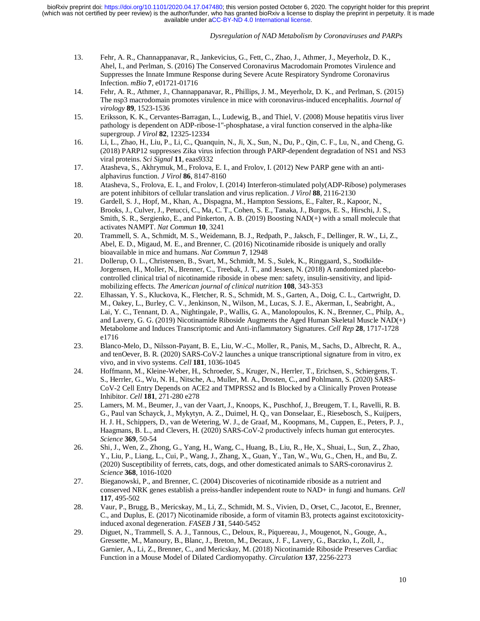#### *Dysregulation of NAD Metabolism by Coronaviruses and PARPs*

- 13. Fehr, A. R., Channappanavar, R., Jankevicius, G., Fett, C., Zhao, J., Athmer, J., Meyerholz, D. K., Ahel, I., and Perlman, S. (2016) The Conserved Coronavirus Macrodomain Promotes Virulence and Suppresses the Innate Immune Response during Severe Acute Respiratory Syndrome Coronavirus Infection. *mBio* **7**, e01721-01716
- 14. Fehr, A. R., Athmer, J., Channappanavar, R., Phillips, J. M., Meyerholz, D. K., and Perlman, S. (2015) The nsp3 macrodomain promotes virulence in mice with coronavirus-induced encephalitis. *Journal of virology* **89**, 1523-1536
- 15. Eriksson, K. K., Cervantes-Barragan, L., Ludewig, B., and Thiel, V. (2008) Mouse hepatitis virus liver pathology is dependent on ADP-ribose-1''-phosphatase, a viral function conserved in the alpha-like supergroup. *J Virol* **82**, 12325-12334
- 16. Li, L., Zhao, H., Liu, P., Li, C., Quanquin, N., Ji, X., Sun, N., Du, P., Qin, C. F., Lu, N., and Cheng, G. (2018) PARP12 suppresses Zika virus infection through PARP-dependent degradation of NS1 and NS3 viral proteins. *Sci Signal* **11**, eaas9332
- 17. Atasheva, S., Akhrymuk, M., Frolova, E. I., and Frolov, I. (2012) New PARP gene with an antialphavirus function. *J Virol* **86**, 8147-8160
- 18. Atasheva, S., Frolova, E. I., and Frolov, I. (2014) Interferon-stimulated poly(ADP-Ribose) polymerases are potent inhibitors of cellular translation and virus replication. *J Virol* **88**, 2116-2130
- 19. Gardell, S. J., Hopf, M., Khan, A., Dispagna, M., Hampton Sessions, E., Falter, R., Kapoor, N., Brooks, J., Culver, J., Petucci, C., Ma, C. T., Cohen, S. E., Tanaka, J., Burgos, E. S., Hirschi, J. S., Smith, S. R., Sergienko, E., and Pinkerton, A. B. (2019) Boosting NAD(+) with a small molecule that activates NAMPT. *Nat Commun* **10**, 3241
- 20. Trammell, S. A., Schmidt, M. S., Weidemann, B. J., Redpath, P., Jaksch, F., Dellinger, R. W., Li, Z., Abel, E. D., Migaud, M. E., and Brenner, C. (2016) Nicotinamide riboside is uniquely and orally bioavailable in mice and humans. *Nat Commun* **7**, 12948
- 21. Dollerup, O. L., Christensen, B., Svart, M., Schmidt, M. S., Sulek, K., Ringgaard, S., Stodkilde-Jorgensen, H., Moller, N., Brenner, C., Treebak, J. T., and Jessen, N. (2018) A randomized placebocontrolled clinical trial of nicotinamide riboside in obese men: safety, insulin-sensitivity, and lipidmobilizing effects. *The American journal of clinical nutrition* **108**, 343-353
- 22. Elhassan, Y. S., Kluckova, K., Fletcher, R. S., Schmidt, M. S., Garten, A., Doig, C. L., Cartwright, D. M., Oakey, L., Burley, C. V., Jenkinson, N., Wilson, M., Lucas, S. J. E., Akerman, I., Seabright, A., Lai, Y. C., Tennant, D. A., Nightingale, P., Wallis, G. A., Manolopoulos, K. N., Brenner, C., Philp, A., and Lavery, G. G. (2019) Nicotinamide Riboside Augments the Aged Human Skeletal Muscle NAD(+) Metabolome and Induces Transcriptomic and Anti-inflammatory Signatures. *Cell Rep* **28**, 1717-1728 e1716
- 23. Blanco-Melo, D., Nilsson-Payant, B. E., Liu, W.-C., Moller, R., Panis, M., Sachs, D., Albrecht, R. A., and tenOever, B. R. (2020) SARS-CoV-2 launches a unique transcriptional signature from in vitro, ex vivo, and in vivo systems. *Cell* **181**, 1036-1045
- 24. Hoffmann, M., Kleine-Weber, H., Schroeder, S., Kruger, N., Herrler, T., Erichsen, S., Schiergens, T. S., Herrler, G., Wu, N. H., Nitsche, A., Muller, M. A., Drosten, C., and Pohlmann, S. (2020) SARS-CoV-2 Cell Entry Depends on ACE2 and TMPRSS2 and Is Blocked by a Clinically Proven Protease Inhibitor. *Cell* **181**, 271-280 e278
- 25. Lamers, M. M., Beumer, J., van der Vaart, J., Knoops, K., Puschhof, J., Breugem, T. I., Ravelli, R. B. G., Paul van Schayck, J., Mykytyn, A. Z., Duimel, H. Q., van Donselaar, E., Riesebosch, S., Kuijpers, H. J. H., Schippers, D., van de Wetering, W. J., de Graaf, M., Koopmans, M., Cuppen, E., Peters, P. J., Haagmans, B. L., and Clevers, H. (2020) SARS-CoV-2 productively infects human gut enterocytes. *Science* **369**, 50-54
- 26. Shi, J., Wen, Z., Zhong, G., Yang, H., Wang, C., Huang, B., Liu, R., He, X., Shuai, L., Sun, Z., Zhao, Y., Liu, P., Liang, L., Cui, P., Wang, J., Zhang, X., Guan, Y., Tan, W., Wu, G., Chen, H., and Bu, Z. (2020) Susceptibility of ferrets, cats, dogs, and other domesticated animals to SARS-coronavirus 2. *Science* **368**, 1016-1020
- 27. Bieganowski, P., and Brenner, C. (2004) Discoveries of nicotinamide riboside as a nutrient and conserved NRK genes establish a preiss-handler independent route to NAD+ in fungi and humans. *Cell* **117**, 495-502
- 28. Vaur, P., Brugg, B., Mericskay, M., Li, Z., Schmidt, M. S., Vivien, D., Orset, C., Jacotot, E., Brenner, C., and Duplus, E. (2017) Nicotinamide riboside, a form of vitamin B3, protects against excitotoxicityinduced axonal degeneration. *FASEB J* **31**, 5440-5452
- 29. Diguet, N., Trammell, S. A. J., Tannous, C., Deloux, R., Piquereau, J., Mougenot, N., Gouge, A., Gressette, M., Manoury, B., Blanc, J., Breton, M., Decaux, J. F., Lavery, G., Baczko, I., Zoll, J., Garnier, A., Li, Z., Brenner, C., and Mericskay, M. (2018) Nicotinamide Riboside Preserves Cardiac Function in a Mouse Model of Dilated Cardiomyopathy. *Circulation* **137**, 2256-2273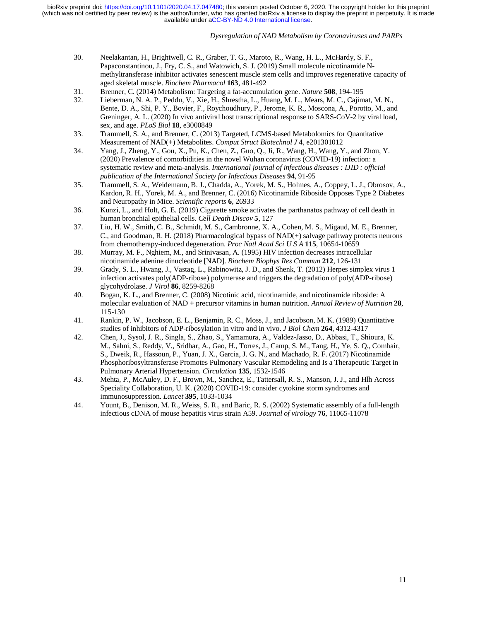*Dysregulation of NAD Metabolism by Coronaviruses and PARPs* 

- 30. Neelakantan, H., Brightwell, C. R., Graber, T. G., Maroto, R., Wang, H. L., McHardy, S. F., Papaconstantinou, J., Fry, C. S., and Watowich, S. J. (2019) Small molecule nicotinamide Nmethyltransferase inhibitor activates senescent muscle stem cells and improves regenerative capacity of aged skeletal muscle. *Biochem Pharmacol* **163**, 481-492
- 31. Brenner, C. (2014) Metabolism: Targeting a fat-accumulation gene. *Nature* **508**, 194-195
- 32. Lieberman, N. A. P., Peddu, V., Xie, H., Shrestha, L., Huang, M. L., Mears, M. C., Cajimat, M. N., Bente, D. A., Shi, P. Y., Bovier, F., Roychoudhury, P., Jerome, K. R., Moscona, A., Porotto, M., and Greninger, A. L. (2020) In vivo antiviral host transcriptional response to SARS-CoV-2 by viral load, sex, and age. *PLoS Biol* **18**, e3000849
- 33. Trammell, S. A., and Brenner, C. (2013) Targeted, LCMS-based Metabolomics for Quantitative Measurement of NAD(+) Metabolites. *Comput Struct Biotechnol J* **4**, e201301012
- 34. Yang, J., Zheng, Y., Gou, X., Pu, K., Chen, Z., Guo, Q., Ji, R., Wang, H., Wang, Y., and Zhou, Y. (2020) Prevalence of comorbidities in the novel Wuhan coronavirus (COVID-19) infection: a systematic review and meta-analysis. *International journal of infectious diseases : IJID : official publication of the International Society for Infectious Diseases* **94**, 91-95
- 35. Trammell, S. A., Weidemann, B. J., Chadda, A., Yorek, M. S., Holmes, A., Coppey, L. J., Obrosov, A., Kardon, R. H., Yorek, M. A., and Brenner, C. (2016) Nicotinamide Riboside Opposes Type 2 Diabetes and Neuropathy in Mice. *Scientific reports* **6**, 26933
- 36. Kunzi, L., and Holt, G. E. (2019) Cigarette smoke activates the parthanatos pathway of cell death in human bronchial epithelial cells. *Cell Death Discov* **5**, 127
- 37. Liu, H. W., Smith, C. B., Schmidt, M. S., Cambronne, X. A., Cohen, M. S., Migaud, M. E., Brenner, C., and Goodman, R. H. (2018) Pharmacological bypass of NAD(+) salvage pathway protects neurons from chemotherapy-induced degeneration. *Proc Natl Acad Sci U S A* **115**, 10654-10659
- 38. Murray, M. F., Nghiem, M., and Srinivasan, A. (1995) HIV infection decreases intracellular nicotinamide adenine dinucleotide [NAD]. *Biochem Biophys Res Commun* **212**, 126-131
- 39. Grady, S. L., Hwang, J., Vastag, L., Rabinowitz, J. D., and Shenk, T. (2012) Herpes simplex virus 1 infection activates poly(ADP-ribose) polymerase and triggers the degradation of poly(ADP-ribose) glycohydrolase. *J Virol* **86**, 8259-8268
- 40. Bogan, K. L., and Brenner, C. (2008) Nicotinic acid, nicotinamide, and nicotinamide riboside: A molecular evaluation of NAD + precursor vitamins in human nutrition. *Annual Review of Nutrition* **28**, 115-130
- 41. Rankin, P. W., Jacobson, E. L., Benjamin, R. C., Moss, J., and Jacobson, M. K. (1989) Quantitative studies of inhibitors of ADP-ribosylation in vitro and in vivo. *J Biol Chem* **264**, 4312-4317
- 42. Chen, J., Sysol, J. R., Singla, S., Zhao, S., Yamamura, A., Valdez-Jasso, D., Abbasi, T., Shioura, K. M., Sahni, S., Reddy, V., Sridhar, A., Gao, H., Torres, J., Camp, S. M., Tang, H., Ye, S. Q., Comhair, S., Dweik, R., Hassoun, P., Yuan, J. X., Garcia, J. G. N., and Machado, R. F. (2017) Nicotinamide Phosphoribosyltransferase Promotes Pulmonary Vascular Remodeling and Is a Therapeutic Target in Pulmonary Arterial Hypertension. *Circulation* **135**, 1532-1546
- 43. Mehta, P., McAuley, D. F., Brown, M., Sanchez, E., Tattersall, R. S., Manson, J. J., and Hlh Across Speciality Collaboration, U. K. (2020) COVID-19: consider cytokine storm syndromes and immunosuppression. *Lancet* **395**, 1033-1034
- 44. Yount, B., Denison, M. R., Weiss, S. R., and Baric, R. S. (2002) Systematic assembly of a full-length infectious cDNA of mouse hepatitis virus strain A59. *Journal of virology* **76**, 11065-11078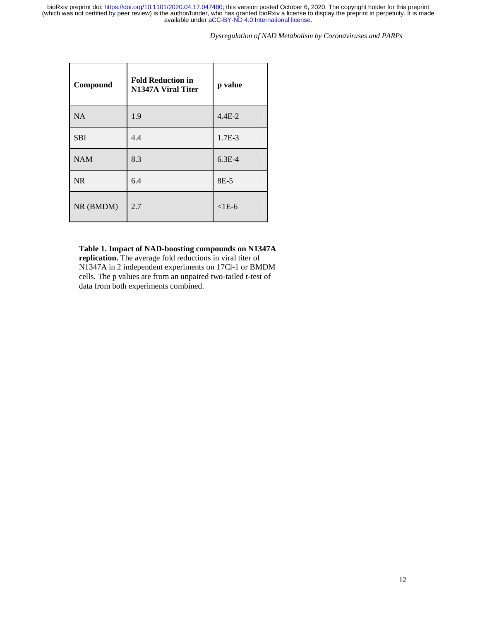*Dysregulation of NAD Metabolism by Coronaviruses and PARPs* 

| Compound   | <b>Fold Reduction in</b><br>N1347A Viral Titer | p value  |
|------------|------------------------------------------------|----------|
| NA         | 1.9                                            | $4.4E-2$ |
| <b>SBI</b> | 4.4                                            | $1.7E-3$ |
| <b>NAM</b> | 8.3                                            | $6.3E-4$ |
| <b>NR</b>  | 6.4                                            | 8E-5     |
| NR (BMDM)  | 2.7                                            | $<$ lE-6 |

**Table 1. Impact of NAD-boosting compounds on N1347A replication.** The average fold reductions in viral titer of N1347A in 2 independent experiments on 17Cl-1 or BMDM cells. The p values are from an unpaired two-tailed t-test of data from both experiments combined.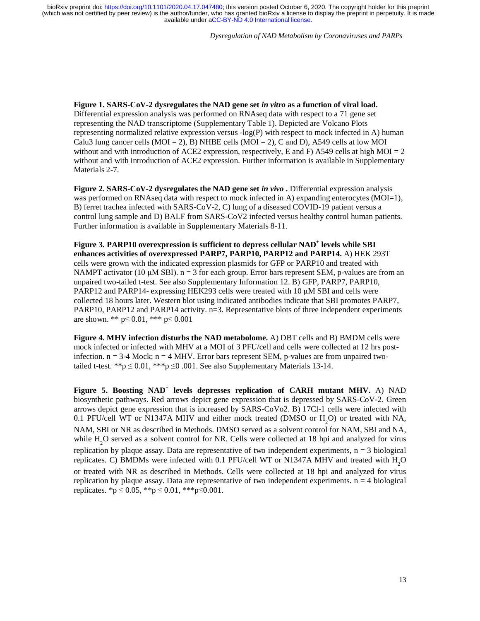*Dysregulation of NAD Metabolism by Coronaviruses and PARPs* 

**Figure 1. SARS-CoV-2 dysregulates the NAD gene set** *in vitro* **as a function of viral load.** Differential expression analysis was performed on RNAseq data with respect to a 71 gene set representing the NAD transcriptome (Supplementary Table 1). Depicted are Volcano Plots representing normalized relative expression versus -log(P) with respect to mock infected in A) human Calu3 lung cancer cells (MOI = 2), B) NHBE cells (MOI = 2), C and D), A549 cells at low MOI without and with introduction of ACE2 expression, respectively, E and F) A549 cells at high MOI =  $2$ without and with introduction of ACE2 expression. Further information is available in Supplementary Materials 2-7.

**Figure 2. SARS-CoV-2 dysregulates the NAD gene set** *in vivo* **.** Differential expression analysis was performed on RNAseq data with respect to mock infected in A) expanding enterocytes (MOI=1), B) ferret trachea infected with SARS-CoV-2, C) lung of a diseased COVID-19 patient versus a control lung sample and D) BALF from SARS-CoV2 infected versus healthy control human patients. Further information is available in Supplementary Materials 8-11.

Figure 3. PARP10 overexpression is sufficient to depress cellular NAD<sup>+</sup> levels while SBI **enhances activities of overexpressed PARP7, PARP10, PARP12 and PARP14.** A) HEK 293T cells were grown with the indicated expression plasmids for GFP or PARP10 and treated with NAMPT activator (10  $\mu$ M SBI). n = 3 for each group. Error bars represent SEM, p-values are from an unpaired two-tailed t-test. See also Supplementary Information 12. B) GFP, PARP7, PARP10, PARP12 and PARP14- expressing HEK293 cells were treated with 10 μM SBI and cells were collected 18 hours later. Western blot using indicated antibodies indicate that SBI promotes PARP7, PARP10, PARP12 and PARP14 activity. n=3. Representative blots of three independent experiments are shown. \*\* p≤ 0.01, \*\*\* p≤ 0.001

**Figure 4. MHV infection disturbs the NAD metabolome.** A) DBT cells and B) BMDM cells were mock infected or infected with MHV at a MOI of 3 PFU/cell and cells were collected at 12 hrs postinfection.  $n = 3-4$  Mock;  $n = 4$  MHV. Error bars represent SEM, p-values are from unpaired twotailed t-test. \*\*p  $\leq$  0.01, \*\*\*p  $\leq$  0.001. See also Supplementary Materials 13-14.

Figure 5. Boosting NAD<sup>+</sup> levels depresses replication of CARH mutant MHV. A) NAD biosynthetic pathways. Red arrows depict gene expression that is depressed by SARS-CoV-2. Green arrows depict gene expression that is increased by SARS-CoVo2. B) 17Cl-1 cells were infected with 0.1 PFU/cell WT or N1347A MHV and either mock treated (DMSO or  $H_2O$ ) or treated with NA, NAM, SBI or NR as described in Methods. DMSO served as a solvent control for NAM, SBI and NA, while  $H_2O$  served as a solvent control for NR. Cells were collected at 18 hpi and analyzed for virus replication by plaque assay. Data are representative of two independent experiments,  $n = 3$  biological replicates. C) BMDMs were infected with 0.1 PFU/cell WT or N1347A MHV and treated with  $H_2O$ or treated with NR as described in Methods. Cells were collected at 18 hpi and analyzed for virus replication by plaque assay. Data are representative of two independent experiments.  $n = 4$  biological replicates. \*p  $\leq 0.05$ , \*\*p  $\leq 0.01$ , \*\*\*p $\leq 0.001$ .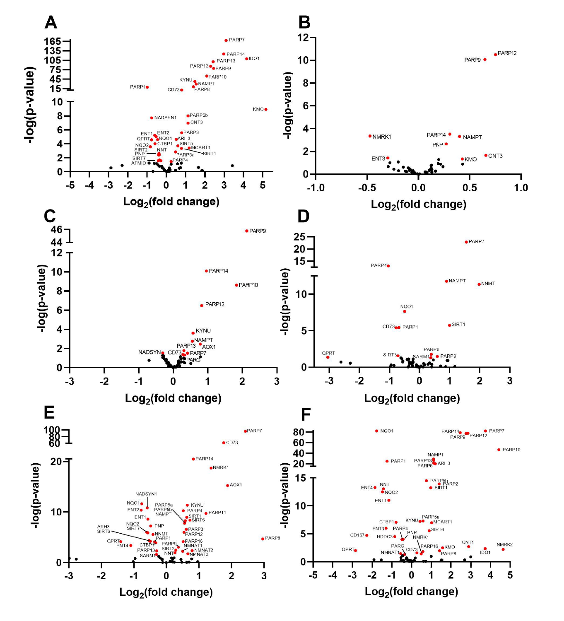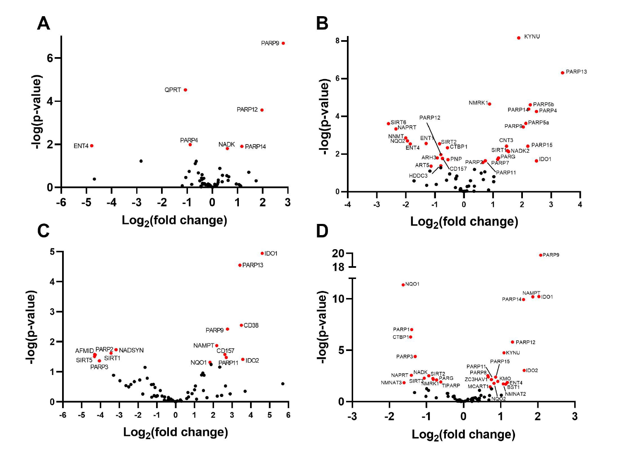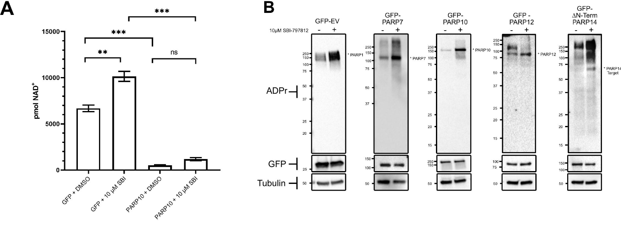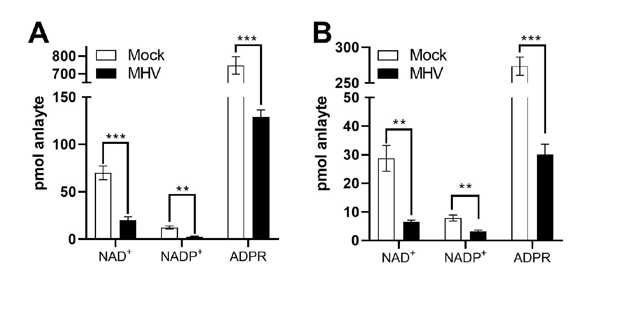